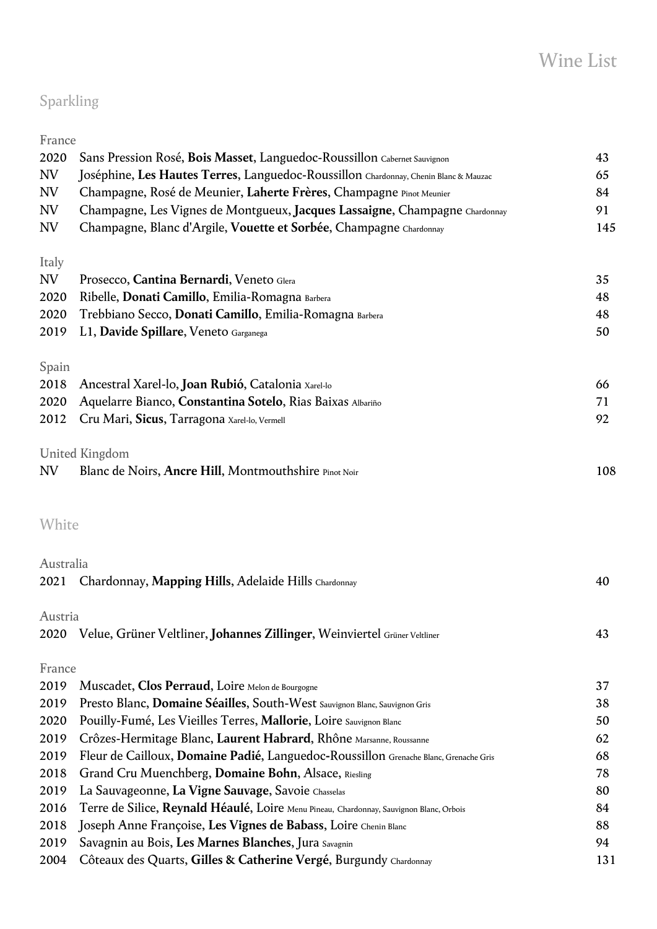# Sparkling

| France    |                                                                                         |     |
|-----------|-----------------------------------------------------------------------------------------|-----|
| 2020      | Sans Pression Rosé, Bois Masset, Languedoc-Roussillon Cabernet Sauvignon                | 43  |
| NV        | Joséphine, Les Hautes Terres, Languedoc-Roussillon Chardonnay, Chenin Blanc & Mauzac    | 65  |
| NV        | Champagne, Rosé de Meunier, Laherte Frères, Champagne Pinot Meunier                     | 84  |
| NV        | Champagne, Les Vignes de Montgueux, Jacques Lassaigne, Champagne Chardonnay             | 91  |
| NV        | Champagne, Blanc d'Argile, Vouette et Sorbée, Champagne Chardonnay                      | 145 |
| Italy     |                                                                                         |     |
| NV        | Prosecco, Cantina Bernardi, Veneto Glera                                                | 35  |
| 2020      | Ribelle, Donati Camillo, Emilia-Romagna Barbera                                         | 48  |
| 2020      | Trebbiano Secco, Donati Camillo, Emilia-Romagna Barbera                                 | 48  |
| 2019      | L1, Davide Spillare, Veneto Garganega                                                   | 50  |
| Spain     |                                                                                         |     |
| 2018      | Ancestral Xarel-lo, Joan Rubió, Catalonia Xarel-lo                                      | 66  |
| 2020      | Aquelarre Bianco, Constantina Sotelo, Rias Baixas Albariño                              | 71  |
| 2012      | Cru Mari, Sicus, Tarragona Xarel-lo, Vermell                                            | 92  |
|           | United Kingdom                                                                          |     |
| NV        | Blanc de Noirs, Ancre Hill, Montmouthshire Pinot Noir                                   | 108 |
| White     |                                                                                         |     |
| Australia |                                                                                         |     |
| 2021      | Chardonnay, Mapping Hills, Adelaide Hills Chardonnay                                    | 40  |
| Austria   |                                                                                         |     |
|           | 2020 Velue, Grüner Veltliner, Johannes Zillinger, Weinviertel Grüner Veltliner          | 43  |
| France    |                                                                                         |     |
| 2019      | Muscadet, Clos Perraud, Loire Melon de Bourgogne                                        | 37  |
| 2019      | Presto Blanc, Domaine Séailles, South-West Sauvignon Blanc, Sauvignon Gris              | 38  |
| 2020      | Pouilly-Fumé, Les Vieilles Terres, Mallorie, Loire Sauvignon Blanc                      | 50  |
| 2019      | Crôzes-Hermitage Blanc, Laurent Habrard, Rhône Marsanne, Roussanne                      | 62  |
| 2019      | Fleur de Cailloux, Domaine Padié, Languedoc-Roussillon Grenache Blanc, Grenache Gris    | 68  |
| 2018      | Grand Cru Muenchberg, Domaine Bohn, Alsace, Riesling                                    | 78  |
| 2019      | La Sauvageonne, La Vigne Sauvage, Savoie Chasselas                                      | 80  |
| 2016      | Terre de Silice, Reynald Héaulé, Loire Menu Pineau, Chardonnay, Sauvignon Blanc, Orbois | 84  |
| 2018      | Joseph Anne Françoise, Les Vignes de Babass, Loire Chenin Blanc                         | 88  |
| 2019      | Savagnin au Bois, Les Marnes Blanches, Jura Savagnin                                    | 94  |
| 2004      | Côteaux des Quarts, Gilles & Catherine Vergé, Burgundy Chardonnay                       | 131 |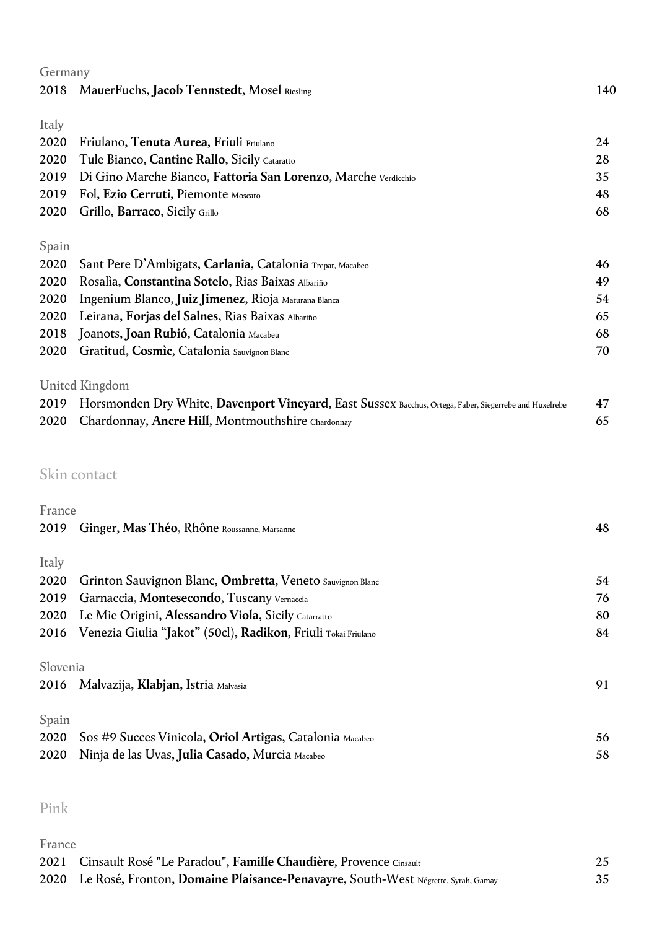| Germany |                                                                                                        |     |
|---------|--------------------------------------------------------------------------------------------------------|-----|
| 2018    | MauerFuchs, Jacob Tennstedt, Mosel Riesling                                                            | 140 |
| Italy   |                                                                                                        |     |
| 2020    | Friulano, Tenuta Aurea, Friuli Friulano                                                                | 24  |
| 2020    | Tule Bianco, Cantine Rallo, Sicily Cataratto                                                           | 28  |
| 2019    | Di Gino Marche Bianco, Fattoria San Lorenzo, Marche Verdicchio                                         | 35  |
| 2019    | Fol, Ezio Cerruti, Piemonte Moscato                                                                    | 48  |
| 2020    | Grillo, Barraco, Sicily Grillo                                                                         | 68  |
| Spain   |                                                                                                        |     |
| 2020    | Sant Pere D'Ambigats, Carlania, Catalonia Trepat, Macabeo                                              | 46  |
| 2020    | Rosalia, Constantina Sotelo, Rias Baixas Albariño                                                      | 49  |
| 2020    | Ingenium Blanco, Juiz Jimenez, Rioja Maturana Blanca                                                   | 54  |
| 2020    | Leirana, Forjas del Salnes, Rias Baixas Albariño                                                       | 65  |
| 2018    | Joanots, Joan Rubió, Catalonia Macabeu                                                                 | 68  |
| 2020    | Gratitud, Cosmic, Catalonia Sauvignon Blanc                                                            | 70  |
|         | United Kingdom                                                                                         |     |
| 2019    | Horsmonden Dry White, Davenport Vineyard, East Sussex Bacchus, Ortega, Faber, Siegerrebe and Huxelrebe | 47  |
| 2020    | Chardonnay, Ancre Hill, Montmouthshire Chardonnay                                                      | 65  |
|         |                                                                                                        |     |
|         |                                                                                                        |     |

### Skin contact

| France   |                                                               |    |
|----------|---------------------------------------------------------------|----|
| 2019     | Ginger, Mas Théo, Rhône Roussanne, Marsanne                   | 48 |
|          |                                                               |    |
| Italy    |                                                               |    |
| 2020     | Grinton Sauvignon Blanc, Ombretta, Veneto Sauvignon Blanc     | 54 |
| 2019     | Garnaccia, Montesecondo, Tuscany Vernaccia                    | 76 |
| 2020     | Le Mie Origini, Alessandro Viola, Sicily Catarratto           | 80 |
| 2016     | Venezia Giulia "Jakot" (50cl), Radikon, Friuli Tokai Friulano | 84 |
|          |                                                               |    |
| Slovenia |                                                               |    |
| 2016     | Malvazija, Klabjan, Istria Malvasia                           | 91 |
|          |                                                               |    |
| Spain    |                                                               |    |
| 2020     | Sos #9 Succes Vinicola, Oriol Artigas, Catalonia Macabeo      | 56 |
| 2020     | Ninja de las Uvas, Julia Casado, Murcia Macabeo               | 58 |
|          |                                                               |    |

## Pink

| France |                                                                                       |    |
|--------|---------------------------------------------------------------------------------------|----|
|        | 2021 Cinsault Rosé "Le Paradou", Famille Chaudière, Provence Cinsault                 |    |
|        | 2020 Le Rosé, Fronton, Domaine Plaisance-Penavayre, South-West Négrette, Syrah, Gamay | 35 |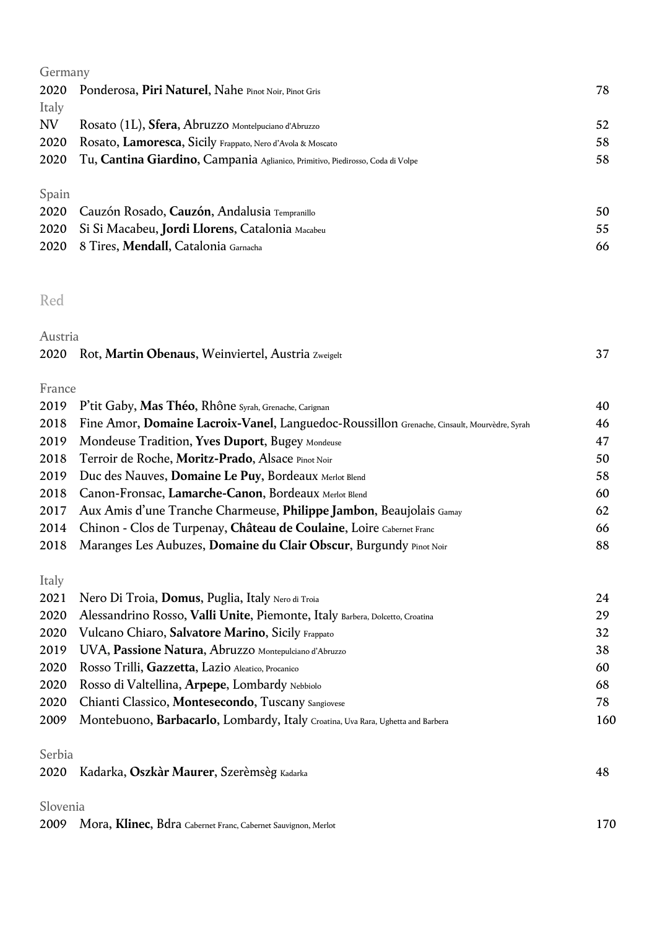| Germany |                                                                                |    |
|---------|--------------------------------------------------------------------------------|----|
| 2020    | Ponderosa, Piri Naturel, Nahe Pinot Noir, Pinot Gris                           | 78 |
| Italy   |                                                                                |    |
| NV      | Rosato (1L), Sfera, Abruzzo Montelpuciano d'Abruzzo                            | 52 |
| 2020    | Rosato, Lamoresca, Sicily Frappato, Nero d'Avola & Moscato                     | 58 |
| 2020    | Tu, Cantina Giardino, Campania Aglianico, Primitivo, Piedirosso, Coda di Volpe | 58 |
| Spain   |                                                                                |    |
| 2020    | Cauzón Rosado, Cauzón, Andalusia Tempranillo                                   | 50 |
| 2020    | Si Si Macabeu, Jordi Llorens, Catalonia Macabeu                                | 55 |
| 2020    | 8 Tires, Mendall, Catalonia Garnacha                                           | 66 |

#### Red

| Austria |                                                         |  |
|---------|---------------------------------------------------------|--|
|         | 2020 Rot, Martin Obenaus, Weinviertel, Austria Zweigelt |  |

| 2019 P'tit Gaby, Mas Théo, Rhône Syrah, Grenache, Carignan                                       | 40 |
|--------------------------------------------------------------------------------------------------|----|
| 2018 Fine Amor, Domaine Lacroix-Vanel, Languedoc-Roussillon Grenache, Cinsault, Mourvèdre, Syrah | 46 |
| 2019 Mondeuse Tradition, Yves Duport, Bugey Mondeuse                                             | 47 |
| 2018 Terroir de Roche, Moritz-Prado, Alsace Pinot Noir                                           | 50 |
| 2019 Duc des Nauves, Domaine Le Puy, Bordeaux Merlot Blend                                       | 58 |
| 2018 Canon-Fronsac, Lamarche-Canon, Bordeaux Merlot Blend                                        | 60 |
| 2017 Aux Amis d'une Tranche Charmeuse, Philippe Jambon, Beaujolais Gamay                         | 62 |
| 2014 Chinon - Clos de Turpenay, Château de Coulaine, Loire Cabernet Franc                        | 66 |
| 2018 Maranges Les Aubuzes, Domaine du Clair Obscur, Burgundy Pinot Noir                          | 88 |

Italy

|        | 2021 Nero Di Troia, Domus, Puglia, Italy Nero di Troia                          | 24  |
|--------|---------------------------------------------------------------------------------|-----|
| 2020   | Alessandrino Rosso, Valli Unite, Piemonte, Italy Barbera, Dolcetto, Croatina    | 29  |
| 2020   | Vulcano Chiaro, Salvatore Marino, Sicily Frappato                               | 32  |
| 2019   | UVA, Passione Natura, Abruzzo Montepulciano d'Abruzzo                           | 38  |
| 2020   | Rosso Trilli, Gazzetta, Lazio Aleatico, Procanico                               | 60  |
| 2020   | Rosso di Valtellina, Arpepe, Lombardy Nebbiolo                                  | 68  |
| 2020   | Chianti Classico, Montesecondo, Tuscany Sangiovese                              | 78  |
| 2009   | Montebuono, Barbacarlo, Lombardy, Italy Croatina, Uva Rara, Ughetta and Barbera | 160 |
|        |                                                                                 |     |
| Serbia |                                                                                 |     |
|        |                                                                                 | 10  |

#### 2020 Kadarka, **Oszkàr Maurer**, Szerèmsèg Kadarka 48

#### Slovenia

|  | 2009 Mora, Klinec, Bdra Cabernet Franc, Cabernet Sauvignon, Merlot | 170 |
|--|--------------------------------------------------------------------|-----|
|--|--------------------------------------------------------------------|-----|